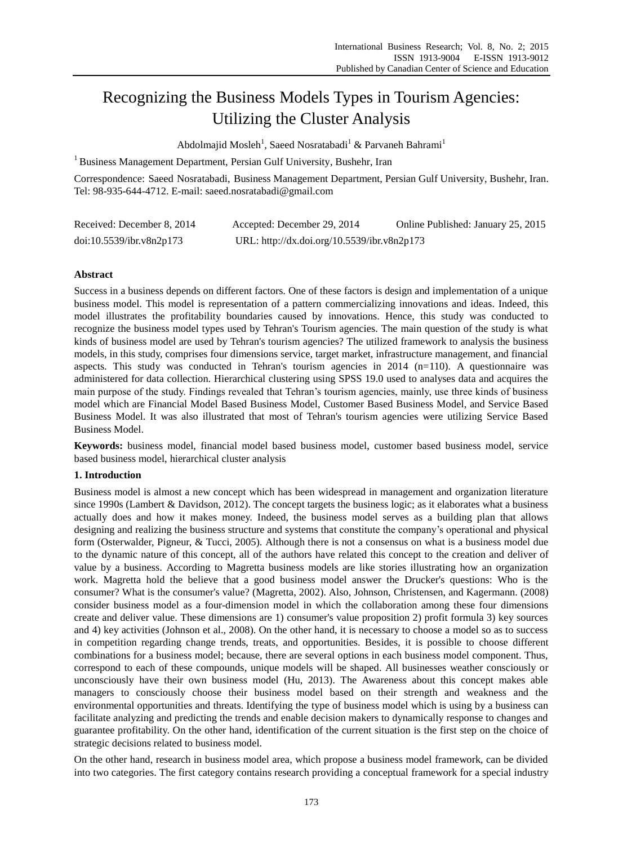# Recognizing the Business Models Types in Tourism Agencies: Utilizing the Cluster Analysis

Abdolmajid Mosleh<sup>1</sup>, Saeed Nosratabadi<sup>1</sup> & Parvaneh Bahrami<sup>1</sup>

 $1$ Business Management Department, Persian Gulf University, Bushehr, Iran

Correspondence: Saeed Nosratabadi, Business Management Department, Persian Gulf University, Bushehr, Iran. Tel: 98-935-644-4712. E-mail: saeed.nosratabadi@gmail.com

| Received: December 8, 2014 | Accepted: December 29, 2014                 | Online Published: January 25, 2015 |
|----------------------------|---------------------------------------------|------------------------------------|
| doi:10.5539/ibr.v8n2p173   | URL: http://dx.doi.org/10.5539/ibr.v8n2p173 |                                    |

# **Abstract**

Success in a business depends on different factors. One of these factors is design and implementation of a unique business model. This model is representation of a pattern commercializing innovations and ideas. Indeed, this model illustrates the profitability boundaries caused by innovations. Hence, this study was conducted to recognize the business model types used by Tehran's Tourism agencies. The main question of the study is what kinds of business model are used by Tehran's tourism agencies? The utilized framework to analysis the business models, in this study, comprises four dimensions service, target market, infrastructure management, and financial aspects. This study was conducted in Tehran's tourism agencies in 2014 (n=110). A questionnaire was administered for data collection. Hierarchical clustering using SPSS 19.0 used to analyses data and acquires the main purpose of the study. Findings revealed that Tehran's tourism agencies, mainly, use three kinds of business model which are Financial Model Based Business Model, Customer Based Business Model, and Service Based Business Model. It was also illustrated that most of Tehran's tourism agencies were utilizing Service Based Business Model.

**Keywords:** business model, financial model based business model, customer based business model, service based business model, hierarchical cluster analysis

# **1. Introduction**

Business model is almost a new concept which has been widespread in management and organization literature since 1990s (Lambert & Davidson, 2012). The concept targets the business logic; as it elaborates what a business actually does and how it makes money. Indeed, the business model serves as a building plan that allows designing and realizing the business structure and systems that constitute the company's operational and physical form (Osterwalder, Pigneur, & Tucci, 2005). Although there is not a consensus on what is a business model due to the dynamic nature of this concept, all of the authors have related this concept to the creation and deliver of value by a business. According to Magretta business models are like stories illustrating how an organization work. Magretta hold the believe that a good business model answer the Drucker's questions: Who is the consumer? What is the consumer's value? (Magretta, 2002). Also, Johnson, Christensen, and Kagermann. (2008) consider business model as a four-dimension model in which the collaboration among these four dimensions create and deliver value. These dimensions are 1) consumer's value proposition 2) profit formula 3) key sources and 4) key activities (Johnson et al., 2008). On the other hand, it is necessary to choose a model so as to success in competition regarding change trends, treats, and opportunities. Besides, it is possible to choose different combinations for a business model; because, there are several options in each business model component. Thus, correspond to each of these compounds, unique models will be shaped. All businesses weather consciously or unconsciously have their own business model (Hu, 2013). The Awareness about this concept makes able managers to consciously choose their business model based on their strength and weakness and the environmental opportunities and threats. Identifying the type of business model which is using by a business can facilitate analyzing and predicting the trends and enable decision makers to dynamically response to changes and guarantee profitability. On the other hand, identification of the current situation is the first step on the choice of strategic decisions related to business model.

On the other hand, research in business model area, which propose a business model framework, can be divided into two categories. The first category contains research providing a conceptual framework for a special industry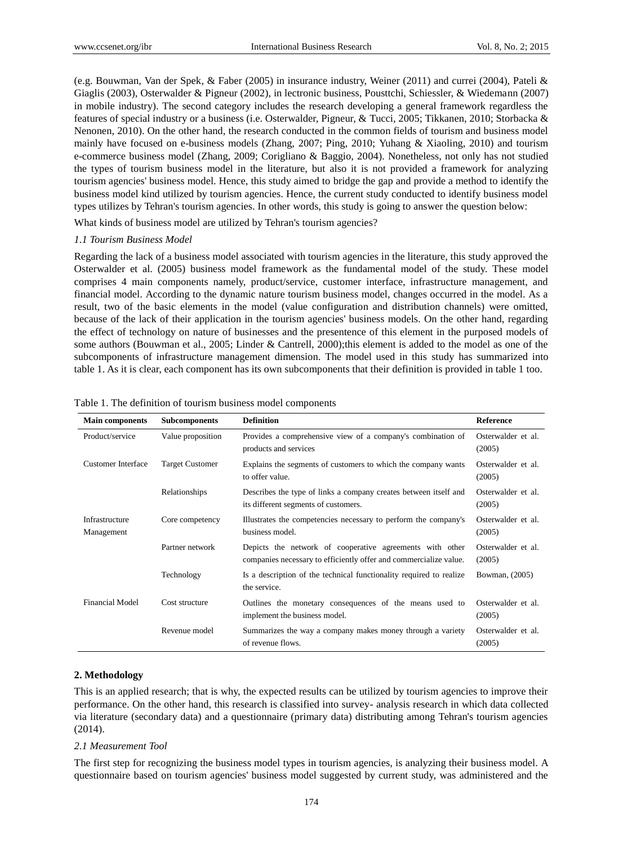(e.g. Bouwman, Van der Spek, & Faber (2005) in insurance industry, Weiner (2011) and currei (2004), Pateli & Giaglis (2003), Osterwalder & Pigneur (2002), in lectronic business, Pousttchi, Schiessler, & Wiedemann (2007) in mobile industry). The second category includes the research developing a general framework regardless the features of special industry or a business (i.e. Osterwalder, Pigneur, & Tucci, 2005; Tikkanen, 2010; Storbacka & Nenonen, 2010). On the other hand, the research conducted in the common fields of tourism and business model mainly have focused on e-business models (Zhang, 2007; Ping, 2010; Yuhang & Xiaoling, 2010) and tourism e-commerce business model (Zhang, 2009; Corigliano & Baggio, 2004). Nonetheless, not only has not studied the types of tourism business model in the literature, but also it is not provided a framework for analyzing tourism agencies' business model. Hence, this study aimed to bridge the gap and provide a method to identify the business model kind utilized by tourism agencies. Hence, the current study conducted to identify business model types utilizes by Tehran's tourism agencies. In other words, this study is going to answer the question below:

What kinds of business model are utilized by Tehran's tourism agencies?

#### *1.1 Tourism Business Model*

Regarding the lack of a business model associated with tourism agencies in the literature, this study approved the Osterwalder et al. (2005) business model framework as the fundamental model of the study. These model comprises 4 main components namely, product/service, customer interface, infrastructure management, and financial model. According to the dynamic nature tourism business model, changes occurred in the model. As a result, two of the basic elements in the model (value configuration and distribution channels) were omitted, because of the lack of their application in the tourism agencies' business models. On the other hand, regarding the effect of technology on nature of businesses and the presentence of this element in the purposed models of some authors (Bouwman et al., 2005; Linder & Cantrell, 2000);this element is added to the model as one of the subcomponents of infrastructure management dimension. The model used in this study has summarized into table 1. As it is clear, each component has its own subcomponents that their definition is provided in table 1 too.

| <b>Main components</b>       | <b>Subcomponents</b>   | <b>Definition</b>                                                                                                             | <b>Reference</b>             |
|------------------------------|------------------------|-------------------------------------------------------------------------------------------------------------------------------|------------------------------|
| Product/service              | Value proposition      | Provides a comprehensive view of a company's combination of<br>products and services                                          | Osterwalder et al.<br>(2005) |
| Customer Interface           | <b>Target Customer</b> | Explains the segments of customers to which the company wants<br>to offer value.                                              | Osterwalder et al.<br>(2005) |
|                              | Relationships          | Describes the type of links a company creates between itself and<br>its different segments of customers.                      | Osterwalder et al.<br>(2005) |
| Infrastructure<br>Management | Core competency        | Illustrates the competencies necessary to perform the company's<br>business model.                                            | Osterwalder et al.<br>(2005) |
|                              | Partner network        | Depicts the network of cooperative agreements with other<br>companies necessary to efficiently offer and commercialize value. | Osterwalder et al.<br>(2005) |
|                              | Technology             | Is a description of the technical functionality required to realize<br>the service.                                           | Bowman, (2005)               |
| Financial Model              | Cost structure         | Outlines the monetary consequences of the means used to<br>implement the business model.                                      | Osterwalder et al.<br>(2005) |
|                              | Revenue model          | Summarizes the way a company makes money through a variety<br>of revenue flows.                                               | Osterwalder et al.<br>(2005) |

Table 1. The definition of tourism business model components

#### **2. Methodology**

This is an applied research; that is why, the expected results can be utilized by tourism agencies to improve their performance. On the other hand, this research is classified into survey- analysis research in which data collected via literature (secondary data) and a questionnaire (primary data) distributing among Tehran's tourism agencies (2014).

#### *2.1 Measurement Tool*

The first step for recognizing the business model types in tourism agencies, is analyzing their business model. A questionnaire based on tourism agencies' business model suggested by current study, was administered and the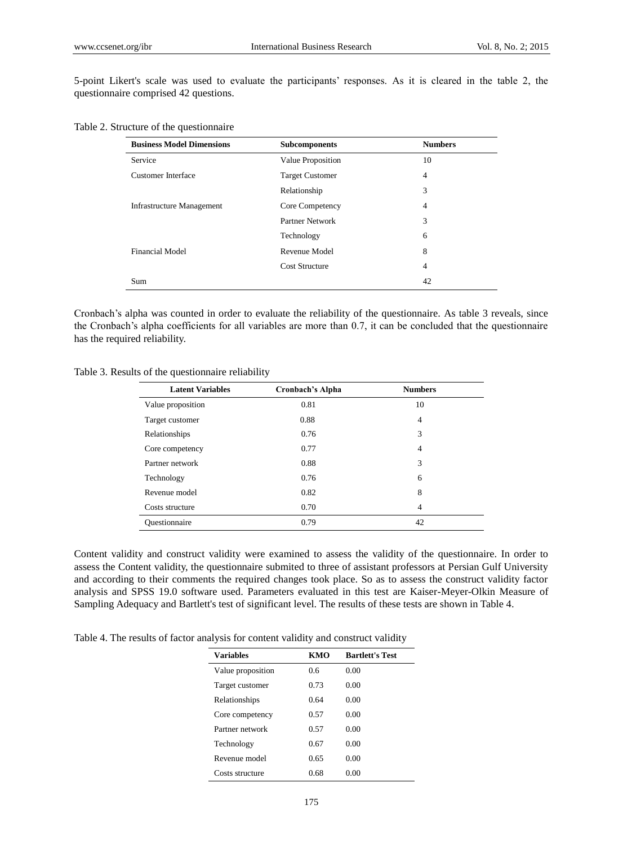5-point Likert's scale was used to evaluate the participants' responses. As it is cleared in the table 2, the questionnaire comprised 42 questions.

|  |  |  | Table 2. Structure of the questionnaire |
|--|--|--|-----------------------------------------|
|--|--|--|-----------------------------------------|

| <b>Business Model Dimensions</b> | <b>Subcomponents</b>   | <b>Numbers</b> |
|----------------------------------|------------------------|----------------|
| Service                          | Value Proposition      | 10             |
| Customer Interface               | <b>Target Customer</b> | $\overline{4}$ |
|                                  | Relationship           | 3              |
| <b>Infrastructure Management</b> | Core Competency        | $\overline{4}$ |
|                                  | Partner Network        | 3              |
|                                  | Technology             | 6              |
| Financial Model                  | Revenue Model          | 8              |
|                                  | <b>Cost Structure</b>  | $\overline{4}$ |
| <b>Sum</b>                       |                        | 42             |

Cronbach's alpha was counted in order to evaluate the reliability of the questionnaire. As table 3 reveals, since the Cronbach's alpha coefficients for all variables are more than 0.7, it can be concluded that the questionnaire has the required reliability.

Table 3. Results of the questionnaire reliability

| <b>Latent Variables</b> | Cronbach's Alpha | <b>Numbers</b> |
|-------------------------|------------------|----------------|
| Value proposition       | 0.81             | 10             |
| Target customer         | 0.88             | 4              |
| Relationships           | 0.76             | 3              |
| Core competency         | 0.77             | 4              |
| Partner network         | 0.88             | 3              |
| Technology              | 0.76             | 6              |
| Revenue model           | 0.82             | 8              |
| Costs structure         | 0.70             | $\overline{4}$ |
| Ouestionnaire           | 0.79             | 42             |

Content validity and construct validity were examined to assess the validity of the questionnaire. In order to assess the Content validity, the questionnaire submited to three of assistant professors at Persian Gulf University and according to their comments the required changes took place. So as to assess the construct validity factor analysis and SPSS 19.0 software used. Parameters evaluated in this test are Kaiser-Meyer-Olkin Measure of Sampling Adequacy and Bartlett's test of significant level. The results of these tests are shown in Table 4.

Table 4. The results of factor analysis for content validity and construct validity

| <b>Variables</b>  | KMO  | <b>Bartlett's Test</b> |
|-------------------|------|------------------------|
| Value proposition | 0.6  | 0.00                   |
| Target customer   | 0.73 | 0.00                   |
| Relationships     | 0.64 | 0.00                   |
| Core competency   | 0.57 | 0.00                   |
| Partner network   | 0.57 | 0.00                   |
| Technology        | 0.67 | 0.00                   |
| Revenue model     | 0.65 | 0.00                   |
| Costs structure   | 0.68 | 0.00                   |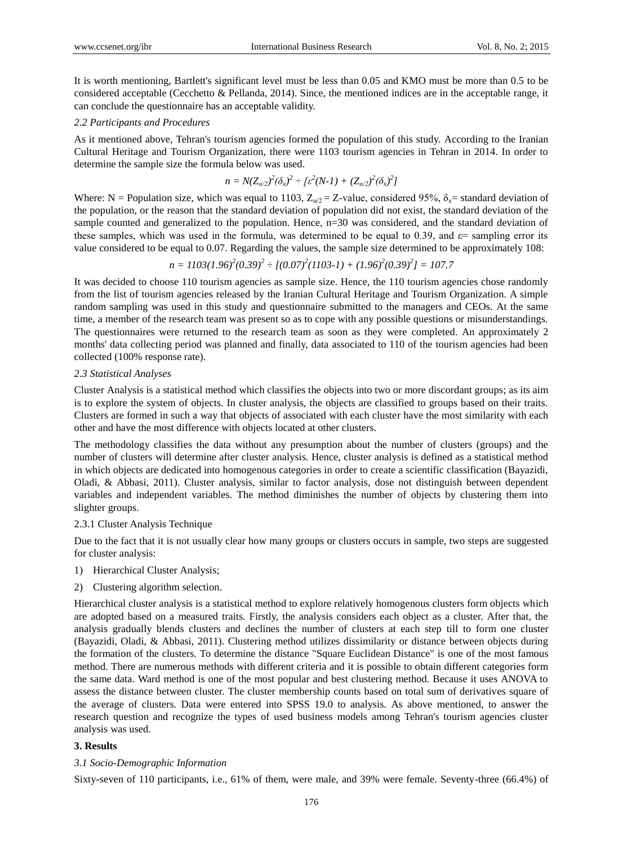It is worth mentioning, Bartlett's significant level must be less than 0.05 and KMO must be more than 0.5 to be considered acceptable (Cecchetto & Pellanda, 2014). Since, the mentioned indices are in the acceptable range, it can conclude the questionnaire has an acceptable validity.

## *2.2 Participants and Procedures*

As it mentioned above, Tehran's tourism agencies formed the population of this study. According to the Iranian Cultural Heritage and Tourism Organization, there were 1103 tourism agencies in Tehran in 2014. In order to determine the sample size the formula below was used.

$$
n = N(Z_{\alpha/2})^2 (\delta_x)^2 \div [ \varepsilon^2 (N-1) + (Z_{\alpha/2})^2 (\delta_x)^2 ]
$$

Where: N = Population size, which was equal to 1103,  $Z_{\alpha/2} = Z$ -value, considered 95%,  $\delta_x =$  standard deviation of the population, or the reason that the standard deviation of population did not exist, the standard deviation of the sample counted and generalized to the population. Hence, n=30 was considered, and the standard deviation of these samples, which was used in the formula, was determined to be equal to 0.39, and  $\varepsilon$ = sampling error its value considered to be equal to 0.07. Regarding the values, the sample size determined to be approximately 108:

$$
n = 1103(1.96)^{2}(0.39)^{2} \div [(0.07)^{2}(1103-1) + (1.96)^{2}(0.39)^{2}] = 107.7
$$

It was decided to choose 110 tourism agencies as sample size. Hence, the 110 tourism agencies chose randomly from the list of tourism agencies released by the Iranian Cultural Heritage and Tourism Organization. A simple random sampling was used in this study and questionnaire submitted to the managers and CEOs. At the same time, a member of the research team was present so as to cope with any possible questions or misunderstandings. The questionnaires were returned to the research team as soon as they were completed. An approximately 2 months' data collecting period was planned and finally, data associated to 110 of the tourism agencies had been collected (100% response rate).

## *2.3 Statistical Analyses*

Cluster Analysis is a statistical method which classifies the objects into two or more discordant groups; as its aim is to explore the system of objects. In cluster analysis, the objects are classified to groups based on their traits. Clusters are formed in such a way that objects of associated with each cluster have the most similarity with each other and have the most difference with objects located at other clusters.

The methodology classifies the data without any presumption about the number of clusters (groups) and the number of clusters will determine after cluster analysis. Hence, cluster analysis is defined as a statistical method in which objects are dedicated into homogenous categories in order to create a scientific classification (Bayazidi, Oladi, & Abbasi, 2011). Cluster analysis, similar to factor analysis, dose not distinguish between dependent variables and independent variables. The method diminishes the number of objects by clustering them into slighter groups.

## 2.3.1 Cluster Analysis Technique

Due to the fact that it is not usually clear how many groups or clusters occurs in sample, two steps are suggested for cluster analysis:

- 1) Hierarchical Cluster Analysis;
- 2) Clustering algorithm selection.

Hierarchical cluster analysis is a statistical method to explore relatively homogenous clusters form objects which are adopted based on a measured traits. Firstly, the analysis considers each object as a cluster. After that, the analysis gradually blends clusters and declines the number of clusters at each step till to form one cluster (Bayazidi, Oladi, & Abbasi, 2011). Clustering method utilizes dissimilarity or distance between objects during the formation of the clusters. To determine the distance "Square Euclidean Distance" is one of the most famous method. There are numerous methods with different criteria and it is possible to obtain different categories form the same data. Ward method is one of the most popular and best clustering method. Because it uses ANOVA to assess the distance between cluster. The cluster membership counts based on total sum of derivatives square of the average of clusters. Data were entered into SPSS 19.0 to analysis. As above mentioned, to answer the research question and recognize the types of used business models among Tehran's tourism agencies cluster analysis was used.

# **3. Results**

# *3.1 Socio-Demographic Information*

Sixty-seven of 110 participants, i.e., 61% of them, were male, and 39% were female. Seventy-three (66.4%) of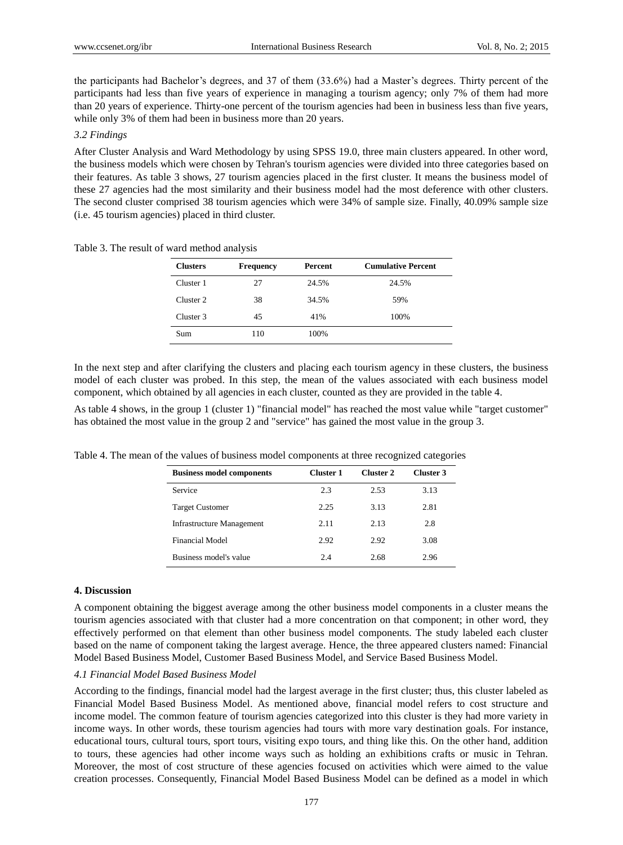the participants had Bachelor's degrees, and 37 of them (33.6%) had a Master's degrees. Thirty percent of the participants had less than five years of experience in managing a tourism agency; only 7% of them had more than 20 years of experience. Thirty-one percent of the tourism agencies had been in business less than five years, while only 3% of them had been in business more than 20 years.

## *3.2 Findings*

After Cluster Analysis and Ward Methodology by using SPSS 19.0, three main clusters appeared. In other word, the business models which were chosen by Tehran's tourism agencies were divided into three categories based on their features. As table 3 shows, 27 tourism agencies placed in the first cluster. It means the business model of these 27 agencies had the most similarity and their business model had the most deference with other clusters. The second cluster comprised 38 tourism agencies which were 34% of sample size. Finally, 40.09% sample size (i.e. 45 tourism agencies) placed in third cluster.

| <b>Clusters</b> | <b>Frequency</b> | Percent | <b>Cumulative Percent</b> |
|-----------------|------------------|---------|---------------------------|
| Cluster 1       | 27               | 24.5%   | 24.5%                     |
| Cluster 2       | 38               | 34.5%   | 59%                       |
| Cluster 3       | 45               | 41%     | 100%                      |
| Sum             | 110              | 100%    |                           |

Table 3. The result of ward method analysis

In the next step and after clarifying the clusters and placing each tourism agency in these clusters, the business model of each cluster was probed. In this step, the mean of the values associated with each business model component, which obtained by all agencies in each cluster, counted as they are provided in the table 4.

As table 4 shows, in the group 1 (cluster 1) "financial model" has reached the most value while "target customer" has obtained the most value in the group 2 and "service" has gained the most value in the group 3.

| <b>Business model components</b> | <b>Cluster 1</b> | <b>Cluster 2</b> | Cluster 3 |  |
|----------------------------------|------------------|------------------|-----------|--|
| Service                          | 2.3              | 2.53             | 3.13      |  |
| <b>Target Customer</b>           | 2.25             | 3.13             | 2.81      |  |
| <b>Infrastructure Management</b> | 2.11             | 2.13             | 2.8       |  |
| Financial Model                  | 2.92             | 2.92             | 3.08      |  |
| Business model's value           | 2.4              | 2.68             | 2.96      |  |

Table 4. The mean of the values of business model components at three recognized categories

## **4. Discussion**

A component obtaining the biggest average among the other business model components in a cluster means the tourism agencies associated with that cluster had a more concentration on that component; in other word, they effectively performed on that element than other business model components. The study labeled each cluster based on the name of component taking the largest average. Hence, the three appeared clusters named: Financial Model Based Business Model, Customer Based Business Model, and Service Based Business Model.

## *4.1 Financial Model Based Business Model*

According to the findings, financial model had the largest average in the first cluster; thus, this cluster labeled as Financial Model Based Business Model. As mentioned above, financial model refers to cost structure and income model. The common feature of tourism agencies categorized into this cluster is they had more variety in income ways. In other words, these tourism agencies had tours with more vary destination goals. For instance, educational tours, cultural tours, sport tours, visiting expo tours, and thing like this. On the other hand, addition to tours, these agencies had other income ways such as holding an exhibitions crafts or music in Tehran. Moreover, the most of cost structure of these agencies focused on activities which were aimed to the value creation processes. Consequently, Financial Model Based Business Model can be defined as a model in which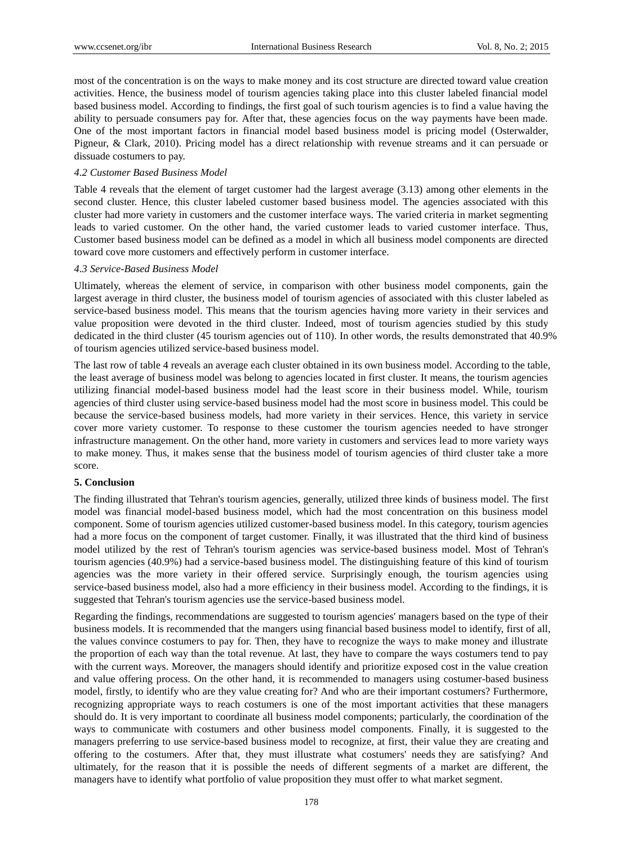most of the concentration is on the ways to make money and its cost structure are directed toward value creation activities. Hence, the business model of tourism agencies taking place into this cluster labeled financial model based business model. According to findings, the first goal of such tourism agencies is to find a value having the ability to persuade consumers pay for. After that, these agencies focus on the way payments have been made. One of the most important factors in financial model based business model is pricing model (Osterwalder, Pigneur, & Clark, 2010). Pricing model has a direct relationship with revenue streams and it can persuade or dissuade costumers to pay.

#### *4.2 Customer Based Business Model*

Table 4 reveals that the element of target customer had the largest average (3.13) among other elements in the second cluster. Hence, this cluster labeled customer based business model. The agencies associated with this cluster had more variety in customers and the customer interface ways. The varied criteria in market segmenting leads to varied customer. On the other hand, the varied customer leads to varied customer interface. Thus, Customer based business model can be defined as a model in which all business model components are directed toward cove more customers and effectively perform in customer interface.

#### *4.3 Service-Based Business Model*

Ultimately, whereas the element of service, in comparison with other business model components, gain the largest average in third cluster, the business model of tourism agencies of associated with this cluster labeled as service-based business model. This means that the tourism agencies having more variety in their services and value proposition were devoted in the third cluster. Indeed, most of tourism agencies studied by this study dedicated in the third cluster (45 tourism agencies out of 110). In other words, the results demonstrated that 40.9% of tourism agencies utilized service-based business model.

The last row of table 4 reveals an average each cluster obtained in its own business model. According to the table, the least average of business model was belong to agencies located in first cluster. It means, the tourism agencies utilizing financial model-based business model had the least score in their business model. While, tourism agencies of third cluster using service-based business model had the most score in business model. This could be because the service-based business models, had more variety in their services. Hence, this variety in service cover more variety customer. To response to these customer the tourism agencies needed to have stronger infrastructure management. On the other hand, more variety in customers and services lead to more variety ways to make money. Thus, it makes sense that the business model of tourism agencies of third cluster take a more score.

# **5. Conclusion**

The finding illustrated that Tehran's tourism agencies, generally, utilized three kinds of business model. The first model was financial model-based business model, which had the most concentration on this business model component. Some of tourism agencies utilized customer-based business model. In this category, tourism agencies had a more focus on the component of target customer. Finally, it was illustrated that the third kind of business model utilized by the rest of Tehran's tourism agencies was service-based business model. Most of Tehran's tourism agencies (40.9%) had a service-based business model. The distinguishing feature of this kind of tourism agencies was the more variety in their offered service. Surprisingly enough, the tourism agencies using service-based business model, also had a more efficiency in their business model. According to the findings, it is suggested that Tehran's tourism agencies use the service-based business model.

Regarding the findings, recommendations are suggested to tourism agencies' managers based on the type of their business models. It is recommended that the mangers using financial based business model to identify, first of all, the values convince costumers to pay for. Then, they have to recognize the ways to make money and illustrate the proportion of each way than the total revenue. At last, they have to compare the ways costumers tend to pay with the current ways. Moreover, the managers should identify and prioritize exposed cost in the value creation and value offering process. On the other hand, it is recommended to managers using costumer-based business model, firstly, to identify who are they value creating for? And who are their important costumers? Furthermore, recognizing appropriate ways to reach costumers is one of the most important activities that these managers should do. It is very important to coordinate all business model components; particularly, the coordination of the ways to communicate with costumers and other business model components. Finally, it is suggested to the managers preferring to use service-based business model to recognize, at first, their value they are creating and offering to the costumers. After that, they must illustrate what costumers' needs they are satisfying? And ultimately, for the reason that it is possible the needs of different segments of a market are different, the managers have to identify what portfolio of value proposition they must offer to what market segment.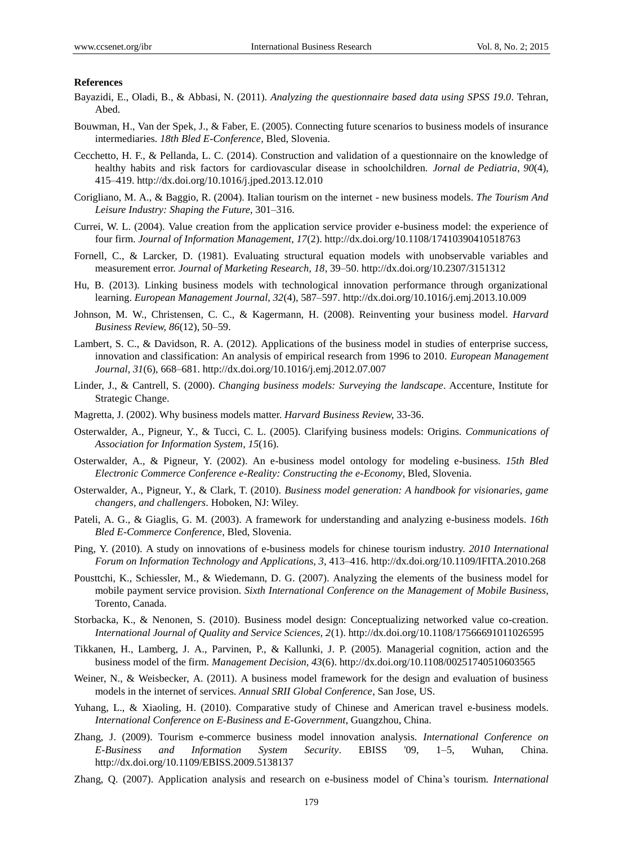#### **References**

- Bayazidi, E., Oladi, B., & Abbasi, N. (2011). *Analyzing the questionnaire based data using SPSS 19.0*. Tehran, Abed.
- Bouwman, H., Van der Spek, J., & Faber, E. (2005). Connecting future scenarios to business models of insurance intermediaries. *18th Bled E-Conference*, Bled, Slovenia.
- Cecchetto, H. F., & Pellanda, L. C. (2014). Construction and validation of a questionnaire on the knowledge of healthy habits and risk factors for cardiovascular disease in schoolchildren. *Jornal de Pediatria, 90*(4), 415–419. http://dx.doi.org/10.1016/j.jped.2013.12.010
- Corigliano, M. A., & Baggio, R. (2004). Italian tourism on the internet new business models. *The Tourism And Leisure Industry: Shaping the Future*, 301–316.
- Currei, W. L. (2004). Value creation from the application service provider e-business model: the experience of four firm. *Journal of Information Management, 17*(2). http://dx.doi.org/10.1108/17410390410518763
- Fornell, C., & Larcker, D. (1981). Evaluating structural equation models with unobservable variables and measurement error. *Journal of Marketing Research, 18*, 39–50. http://dx.doi.org/10.2307/3151312
- Hu, B. (2013). Linking business models with technological innovation performance through organizational learning. *European Management Journal, 32*(4), 587–597. http://dx.doi.org/10.1016/j.emj.2013.10.009
- Johnson, M. W., Christensen, C. C., & Kagermann, H. (2008). Reinventing your business model. *Harvard Business Review, 86*(12), 50–59.
- Lambert, S. C., & Davidson, R. A. (2012). Applications of the business model in studies of enterprise success, innovation and classification: An analysis of empirical research from 1996 to 2010. *European Management Journal, 31*(6), 668–681. http://dx.doi.org/10.1016/j.emj.2012.07.007
- Linder, J., & Cantrell, S. (2000). *Changing business models: Surveying the landscape*. Accenture, Institute for Strategic Change.
- Magretta, J. (2002). Why business models matter. *Harvard Business Review,* 33-36.
- Osterwalder, A., Pigneur, Y., & Tucci, C. L. (2005). Clarifying business models: Origins. *Communications of Association for Information System, 15*(16).
- Osterwalder, A., & Pigneur, Y. (2002). An e-business model ontology for modeling e-business. *15th Bled Electronic Commerce Conference e-Reality: Constructing the e-Economy*, Bled, Slovenia.
- Osterwalder, A., Pigneur, Y., & Clark, T. (2010). *Business model generation: A handbook for visionaries, game changers, and challengers*. Hoboken, NJ: Wiley.
- Pateli, A. G., & Giaglis, G. M. (2003). A framework for understanding and analyzing e-business models. *16th Bled E-Commerce Conference*, Bled, Slovenia.
- Ping, Y. (2010). A study on innovations of e-business models for chinese tourism industry. *2010 International Forum on Information Technology and Applications, 3*, 413–416. http://dx.doi.org/10.1109/IFITA.2010.268
- Pousttchi, K., Schiessler, M., & Wiedemann, D. G. (2007). Analyzing the elements of the business model for mobile payment service provision. *Sixth International Conference on the Management of Mobile Business*, Torento, Canada.
- Storbacka, K., & Nenonen, S. (2010). Business model design: Conceptualizing networked value co-creation. *International Journal of Quality and Service Sciences, 2*(1). http://dx.doi.org/10.1108/17566691011026595
- Tikkanen, H., Lamberg, J. A., Parvinen, P., & Kallunki, J. P. (2005). Managerial cognition, action and the business model of the firm. *Management Decision, 43*(6). http://dx.doi.org/10.1108/00251740510603565
- Weiner, N., & Weisbecker, A. (2011). A business model framework for the design and evaluation of business models in the internet of services. *Annual SRII Global Conference*, San Jose, US.
- Yuhang, L., & Xiaoling, H. (2010). Comparative study of Chinese and American travel e-business models. *International Conference on E-Business and E-Government*, Guangzhou, China.
- Zhang, J. (2009). Tourism e-commerce business model innovation analysis. *International Conference on E-Business and Information System Security*. EBISS '09, 1–5, Wuhan, China. http://dx.doi.org/10.1109/EBISS.2009.5138137
- Zhang, Q. (2007). Application analysis and research on e-business model of China's tourism. *International*